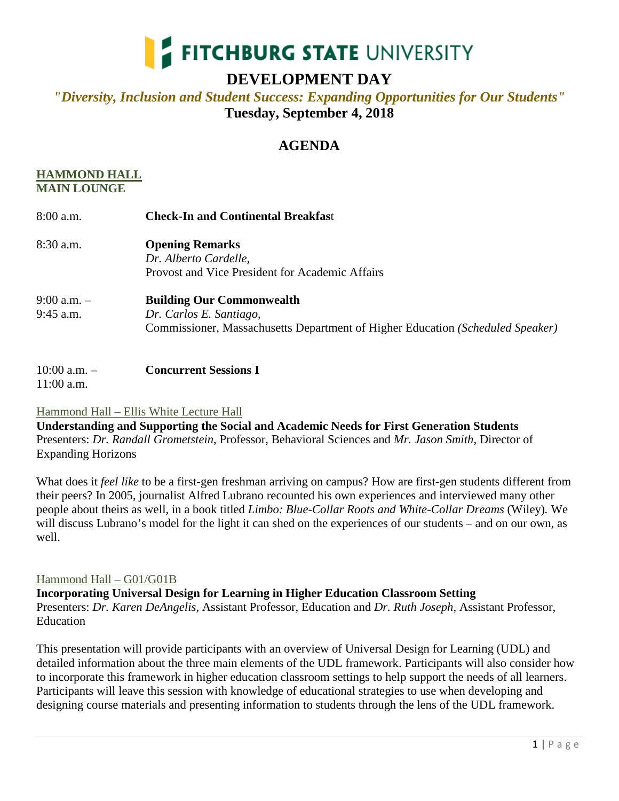

# **DEVELOPMENT DAY**

## *"Diversity, Inclusion and Student Success: Expanding Opportunities for Our Students"* **Tuesday, September 4, 2018**

## **AGENDA**

### **HAMMOND HALL MAIN LOUNGE**

| $8:00$ a.m.                    | <b>Check-In and Continental Breakfast</b>                                                                                                     |
|--------------------------------|-----------------------------------------------------------------------------------------------------------------------------------------------|
| $8:30$ a.m.                    | <b>Opening Remarks</b><br>Dr. Alberto Cardelle,<br>Provost and Vice President for Academic Affairs                                            |
| $9:00$ a.m. $-$<br>$9:45$ a.m. | <b>Building Our Commonwealth</b><br>Dr. Carlos E. Santiago,<br>Commissioner, Massachusetts Department of Higher Education (Scheduled Speaker) |

10:00 a.m. – **Concurrent Sessions I**  $11:00$  a.m.

## Hammond Hall – Ellis White Lecture Hall

**Understanding and Supporting the Social and Academic Needs for First Generation Students** Presenters: *Dr. Randall Grometstein*, Professor, Behavioral Sciences and *Mr. Jason Smith*, Director of Expanding Horizons

What does it *feel like* to be a first-gen freshman arriving on campus? How are first-gen students different from their peers? In 2005, journalist Alfred Lubrano recounted his own experiences and interviewed many other people about theirs as well, in a book titled *Limbo: Blue-Collar Roots and White-Collar Dreams* (Wiley)*.* We will discuss Lubrano's model for the light it can shed on the experiences of our students – and on our own, as well.

## Hammond Hall – G01/G01B

**Incorporating Universal Design for Learning in Higher Education Classroom Setting** Presenters: *Dr. Karen DeAngelis*, Assistant Professor, Education and *Dr. Ruth Joseph*, Assistant Professor, Education

This presentation will provide participants with an overview of Universal Design for Learning (UDL) and detailed information about the three main elements of the UDL framework. Participants will also consider how to incorporate this framework in higher education classroom settings to help support the needs of all learners. Participants will leave this session with knowledge of educational strategies to use when developing and designing course materials and presenting information to students through the lens of the UDL framework.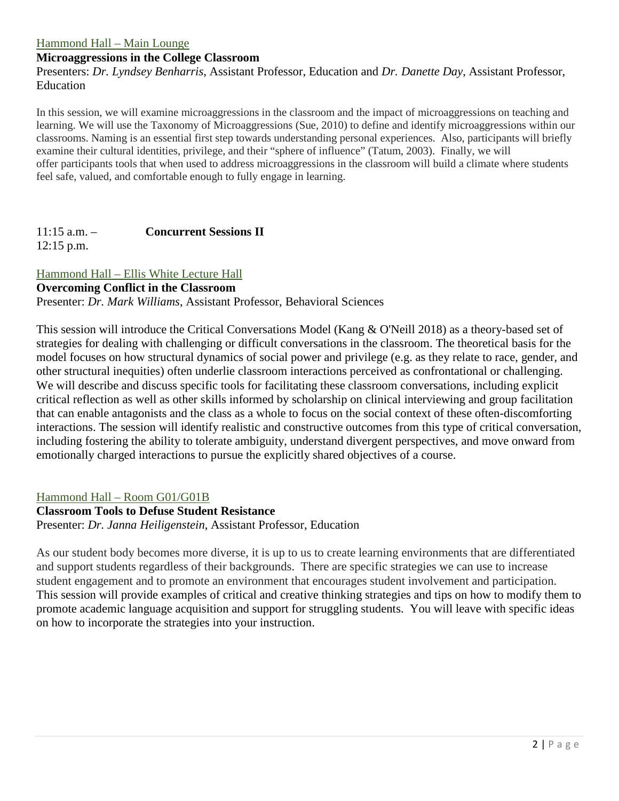#### Hammond Hall – Main Lounge

#### **Microaggressions in the College Classroom**

Presenters: *Dr. Lyndsey Benharris*, Assistant Professor, Education and *Dr. Danette Day*, Assistant Professor, Education

In this session, we will examine microaggressions in the classroom and the impact of microaggressions on teaching and learning. We will use the Taxonomy of Microaggressions (Sue, 2010) to define and identify microaggressions within our classrooms. Naming is an essential first step towards understanding personal experiences. Also, participants will briefly examine their cultural identities, privilege, and their "sphere of influence" (Tatum, 2003). Finally, we will offer participants tools that when used to address microaggressions in the classroom will build a climate where students feel safe, valued, and comfortable enough to fully engage in learning.

# 11:15 a.m. – **Concurrent Sessions II**

 $12:15$  p.m.

### Hammond Hall – Ellis White Lecture Hall

#### **Overcoming Conflict in the Classroom**

Presenter: *Dr. Mark Williams*, Assistant Professor, Behavioral Sciences

This session will introduce the Critical Conversations Model (Kang & O'Neill 2018) as a theory-based set of strategies for dealing with challenging or difficult conversations in the classroom. The theoretical basis for the model focuses on how structural dynamics of social power and privilege (e.g. as they relate to race, gender, and other structural inequities) often underlie classroom interactions perceived as confrontational or challenging. We will describe and discuss specific tools for facilitating these classroom conversations, including explicit critical reflection as well as other skills informed by scholarship on clinical interviewing and group facilitation that can enable antagonists and the class as a whole to focus on the social context of these often-discomforting interactions. The session will identify realistic and constructive outcomes from this type of critical conversation, including fostering the ability to tolerate ambiguity, understand divergent perspectives, and move onward from emotionally charged interactions to pursue the explicitly shared objectives of a course.

#### Hammond Hall – Room G01/G01B

#### **Classroom Tools to Defuse Student Resistance** Presenter: *Dr. Janna Heiligenstein*, Assistant Professor, Education

As our student body becomes more diverse, it is up to us to create learning environments that are differentiated and support students regardless of their backgrounds. There are specific strategies we can use to increase student engagement and to promote an environment that encourages student involvement and participation. This session will provide examples of critical and creative thinking strategies and tips on how to modify them to promote academic language acquisition and support for struggling students. You will leave with specific ideas on how to incorporate the strategies into your instruction.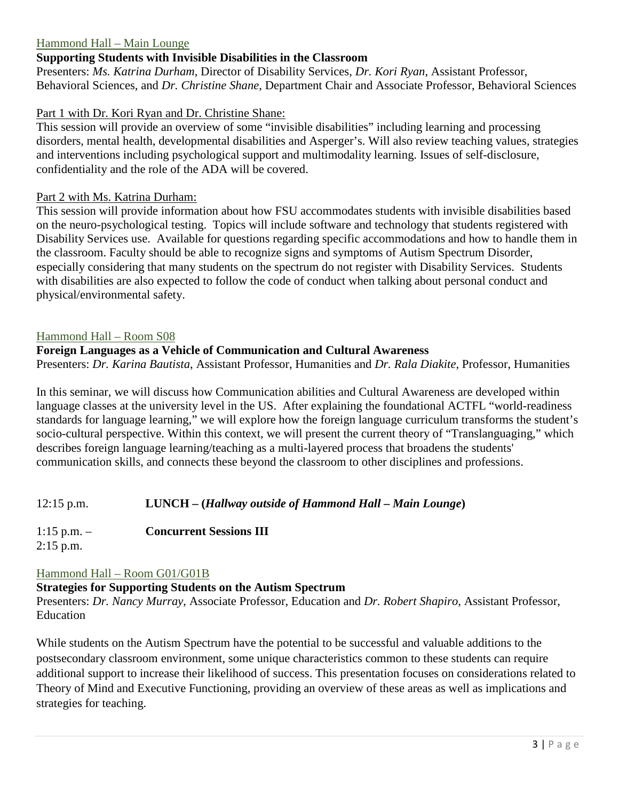### Hammond Hall – Main Lounge

### **Supporting Students with Invisible Disabilities in the Classroom**

Presenters: *Ms. Katrina Durham*, Director of Disability Services, *Dr. Kori Ryan*, Assistant Professor, Behavioral Sciences, and *Dr. Christine Shane*, Department Chair and Associate Professor, Behavioral Sciences

### Part 1 with Dr. Kori Ryan and Dr. Christine Shane:

This session will provide an overview of some "invisible disabilities" including learning and processing disorders, mental health, developmental disabilities and Asperger's. Will also review teaching values, strategies and interventions including psychological support and multimodality learning. Issues of self-disclosure, confidentiality and the role of the ADA will be covered.

### Part 2 with Ms. Katrina Durham:

This session will provide information about how FSU accommodates students with invisible disabilities based on the neuro-psychological testing. Topics will include software and technology that students registered with Disability Services use. Available for questions regarding specific accommodations and how to handle them in the classroom. Faculty should be able to recognize signs and symptoms of Autism Spectrum Disorder, especially considering that many students on the spectrum do not register with Disability Services. Students with disabilities are also expected to follow the code of conduct when talking about personal conduct and physical/environmental safety.

#### Hammond Hall – Room S08

## **Foreign Languages as a Vehicle of Communication and Cultural Awareness**

Presenters: *Dr. Karina Bautista*, Assistant Professor, Humanities and *Dr. Rala Diakite*, Professor, Humanities

In this seminar, we will discuss how Communication abilities and Cultural Awareness are developed within language classes at the university level in the US. After explaining the foundational ACTFL "world-readiness standards for language learning," we will explore how the foreign language curriculum transforms the student's socio-cultural perspective. Within this context, we will present the current theory of "Translanguaging," which describes foreign language learning/teaching as a multi-layered process that broadens the students' communication skills, and connects these beyond the classroom to other disciplines and professions.

12:15 p.m. **LUNCH – (***Hallway outside of Hammond Hall – Main Lounge***)**

1:15 p.m. – **Concurrent Sessions III**

2:15 p.m.

#### Hammond Hall – Room G01/G01B

#### **Strategies for Supporting Students on the Autism Spectrum**

Presenters: *Dr. Nancy Murray*, Associate Professor, Education and *Dr. Robert Shapiro*, Assistant Professor, Education

While students on the Autism Spectrum have the potential to be successful and valuable additions to the postsecondary classroom environment, some unique characteristics common to these students can require additional support to increase their likelihood of success. This presentation focuses on considerations related to Theory of Mind and Executive Functioning, providing an overview of these areas as well as implications and strategies for teaching.